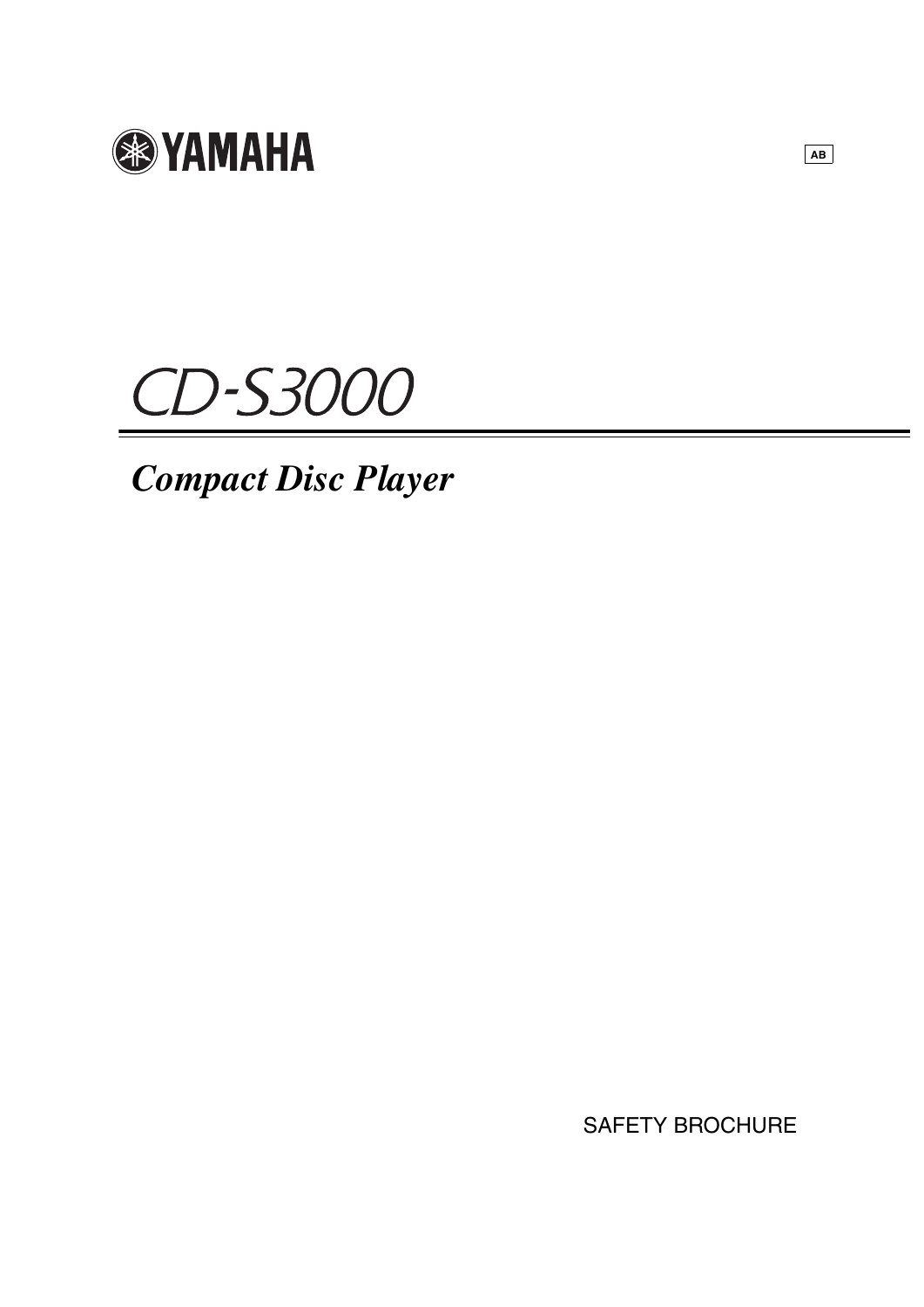

# CD-S3000

# *Compact Disc Player*

SAFETY BROCHURE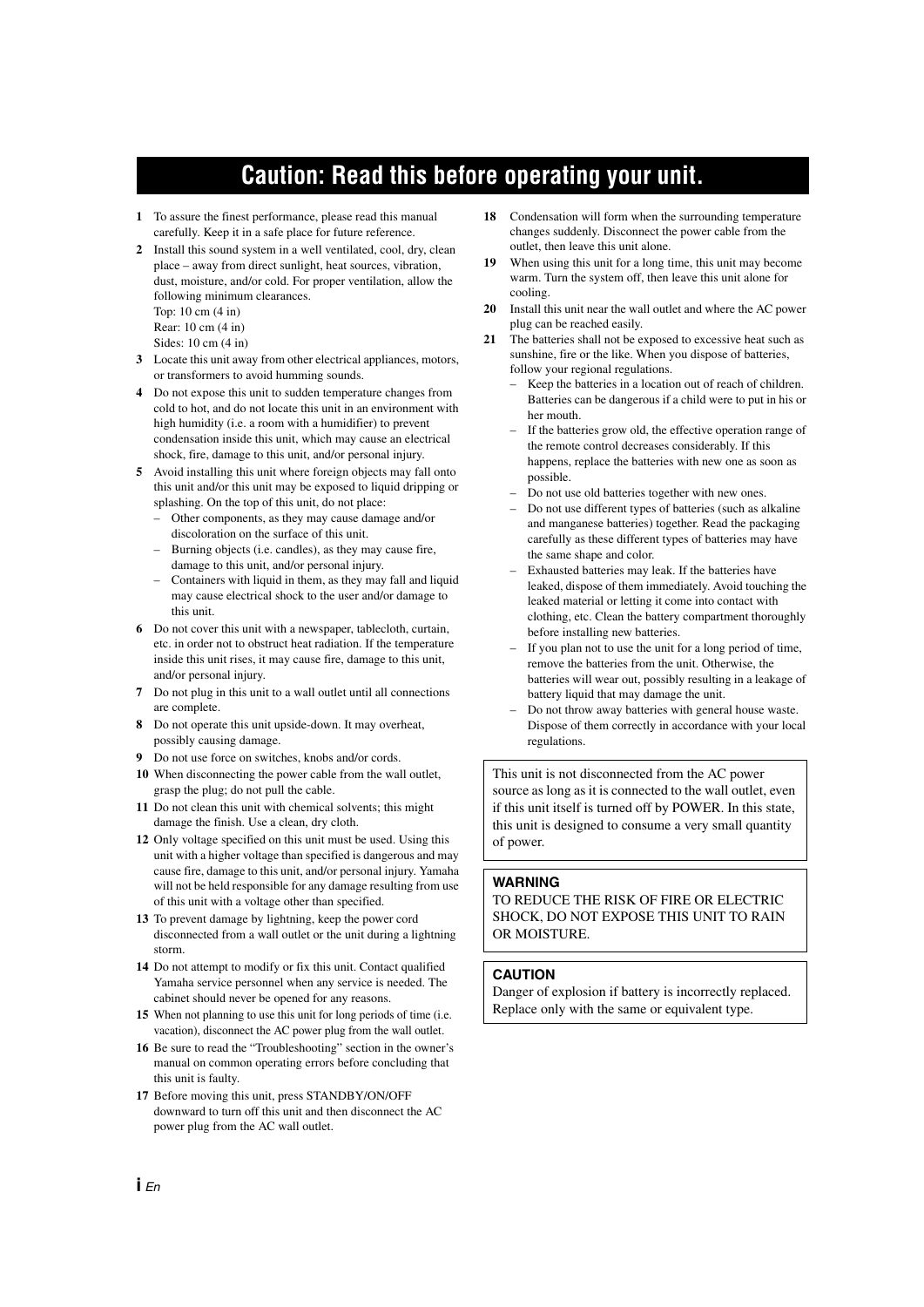## **Caution: Read this before operating your unit.**

- **1** To assure the finest performance, please read this manual carefully. Keep it in a safe place for future reference.
- **2** Install this sound system in a well ventilated, cool, dry, clean place – away from direct sunlight, heat sources, vibration, dust, moisture, and/or cold. For proper ventilation, allow the following minimum clearances.

Top: 10 cm (4 in) Rear: 10 cm (4 in)

- Sides: 10 cm (4 in)
- **3** Locate this unit away from other electrical appliances, motors, or transformers to avoid humming sounds.
- **4** Do not expose this unit to sudden temperature changes from cold to hot, and do not locate this unit in an environment with high humidity (i.e. a room with a humidifier) to prevent condensation inside this unit, which may cause an electrical shock, fire, damage to this unit, and/or personal injury.
- **5** Avoid installing this unit where foreign objects may fall onto this unit and/or this unit may be exposed to liquid dripping or splashing. On the top of this unit, do not place:
	- Other components, as they may cause damage and/or discoloration on the surface of this unit.
	- Burning objects (i.e. candles), as they may cause fire, damage to this unit, and/or personal injury.
	- Containers with liquid in them, as they may fall and liquid may cause electrical shock to the user and/or damage to this unit.
- **6** Do not cover this unit with a newspaper, tablecloth, curtain, etc. in order not to obstruct heat radiation. If the temperature inside this unit rises, it may cause fire, damage to this unit, and/or personal injury.
- **7** Do not plug in this unit to a wall outlet until all connections are complete.
- **8** Do not operate this unit upside-down. It may overheat, possibly causing damage.
- **9** Do not use force on switches, knobs and/or cords.
- **10** When disconnecting the power cable from the wall outlet, grasp the plug; do not pull the cable.
- **11** Do not clean this unit with chemical solvents; this might damage the finish. Use a clean, dry cloth.
- **12** Only voltage specified on this unit must be used. Using this unit with a higher voltage than specified is dangerous and may cause fire, damage to this unit, and/or personal injury. Yamaha will not be held responsible for any damage resulting from use of this unit with a voltage other than specified.
- **13** To prevent damage by lightning, keep the power cord disconnected from a wall outlet or the unit during a lightning storm.
- **14** Do not attempt to modify or fix this unit. Contact qualified Yamaha service personnel when any service is needed. The cabinet should never be opened for any reasons.
- **15** When not planning to use this unit for long periods of time (i.e. vacation), disconnect the AC power plug from the wall outlet.
- **16** Be sure to read the "Troubleshooting" section in the owner's manual on common operating errors before concluding that this unit is faulty.
- **17** Before moving this unit, press STANDBY/ON/OFF downward to turn off this unit and then disconnect the AC power plug from the AC wall outlet.
- **18** Condensation will form when the surrounding temperature changes suddenly. Disconnect the power cable from the outlet, then leave this unit alone.
- **19** When using this unit for a long time, this unit may become warm. Turn the system off, then leave this unit alone for cooling.
- **20** Install this unit near the wall outlet and where the AC power plug can be reached easily.
- **21** The batteries shall not be exposed to excessive heat such as sunshine, fire or the like. When you dispose of batteries, follow your regional regulations.
	- Keep the batteries in a location out of reach of children. Batteries can be dangerous if a child were to put in his or her mouth.
	- If the batteries grow old, the effective operation range of the remote control decreases considerably. If this happens, replace the batteries with new one as soon as possible.
	- Do not use old batteries together with new ones.
	- Do not use different types of batteries (such as alkaline and manganese batteries) together. Read the packaging carefully as these different types of batteries may have the same shape and color.
	- Exhausted batteries may leak. If the batteries have leaked, dispose of them immediately. Avoid touching the leaked material or letting it come into contact with clothing, etc. Clean the battery compartment thoroughly before installing new batteries.
	- If you plan not to use the unit for a long period of time, remove the batteries from the unit. Otherwise, the batteries will wear out, possibly resulting in a leakage of battery liquid that may damage the unit.
	- Do not throw away batteries with general house waste. Dispose of them correctly in accordance with your local regulations.

This unit is not disconnected from the AC power source as long as it is connected to the wall outlet, even if this unit itself is turned off by POWER. In this state, this unit is designed to consume a very small quantity of power.

#### **WARNING**

TO REDUCE THE RISK OF FIRE OR ELECTRIC SHOCK, DO NOT EXPOSE THIS UNIT TO RAIN OR MOISTURE.

#### **CAUTION**

Danger of explosion if battery is incorrectly replaced. Replace only with the same or equivalent type.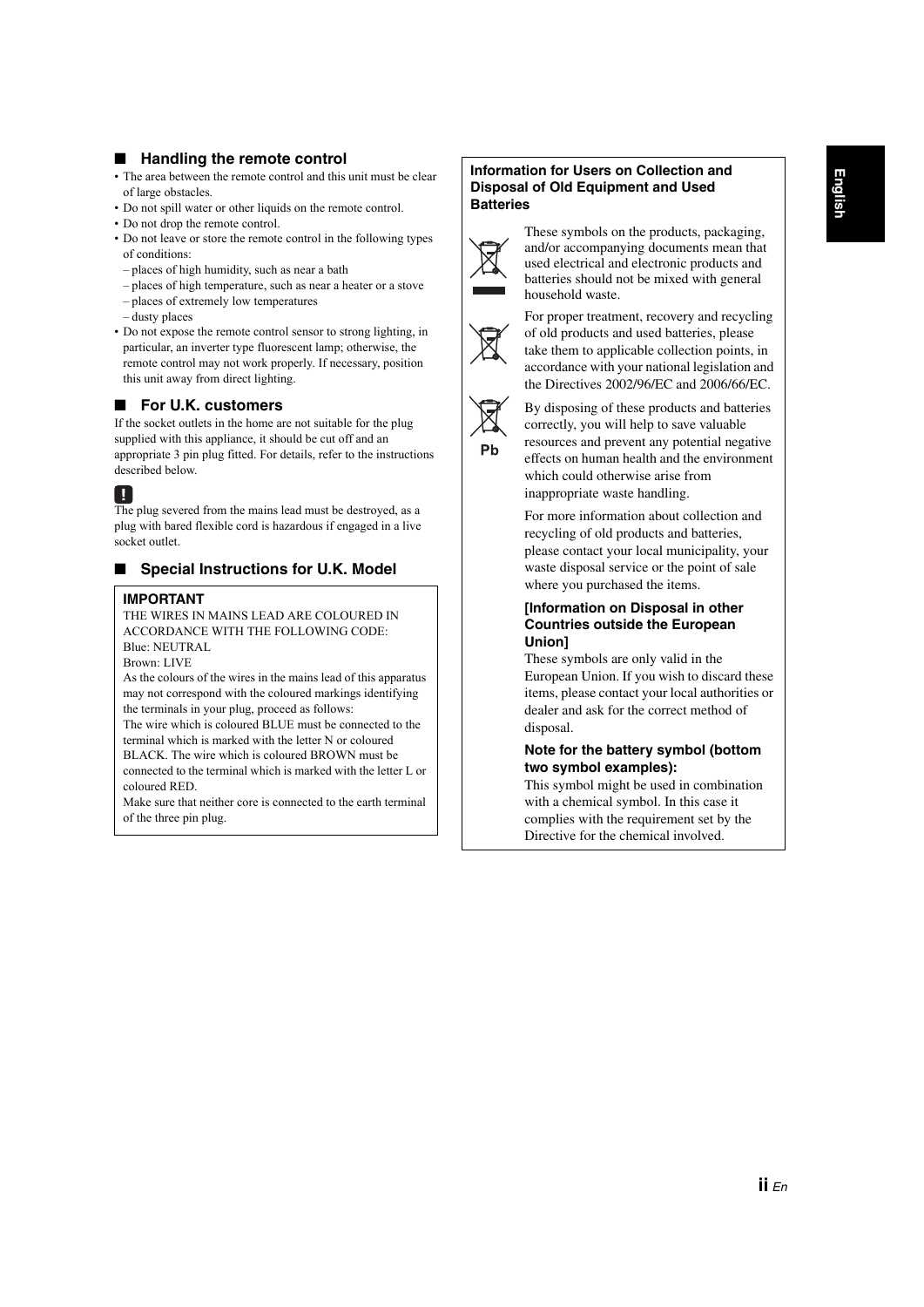#### **Handling the remote control**

- The area between the remote control and this unit must be clear of large obstacles.
- Do not spill water or other liquids on the remote control.
- Do not drop the remote control.
- Do not leave or store the remote control in the following types of conditions:
- places of high humidity, such as near a bath
- places of high temperature, such as near a heater or a stove
- places of extremely low temperatures
- dusty places
- Do not expose the remote control sensor to strong lighting, in particular, an inverter type fluorescent lamp; otherwise, the remote control may not work properly. If necessary, position this unit away from direct lighting.

#### ■ **For U.K. customers**

If the socket outlets in the home are not suitable for the plug supplied with this appliance, it should be cut off and an appropriate 3 pin plug fitted. For details, refer to the instructions described below.

#### П

The plug severed from the mains lead must be destroyed, as a plug with bared flexible cord is hazardous if engaged in a live socket outlet.

#### **Special Instructions for U.K. Model**

#### **IMPORTANT**

THE WIRES IN MAINS LEAD ARE COLOURED IN ACCORDANCE WITH THE FOLLOWING CODE: Blue: NEUTRAL

Brown: LIVE

As the colours of the wires in the mains lead of this apparatus may not correspond with the coloured markings identifying the terminals in your plug, proceed as follows:

The wire which is coloured BLUE must be connected to the terminal which is marked with the letter N or coloured BLACK. The wire which is coloured BROWN must be connected to the terminal which is marked with the letter L or coloured RED.

Make sure that neither core is connected to the earth terminal of the three pin plug.

#### **Information for Users on Collection and Disposal of Old Equipment and Used Batteries**



These symbols on the products, packaging, and/or accompanying documents mean that used electrical and electronic products and batteries should not be mixed with general household waste.



For proper treatment, recovery and recycling of old products and used batteries, please take them to applicable collection points, in accordance with your national legislation and the Directives 2002/96/EC and 2006/66/EC.



By disposing of these products and batteries correctly, you will help to save valuable resources and prevent any potential negative effects on human health and the environment which could otherwise arise from inappropriate waste handling.

For more information about collection and recycling of old products and batteries, please contact your local municipality, your waste disposal service or the point of sale where you purchased the items.

#### **[Information on Disposal in other Countries outside the European Union]**

These symbols are only valid in the European Union. If you wish to discard these items, please contact your local authorities or dealer and ask for the correct method of disposal.

#### **Note for the battery symbol (bottom two symbol examples):**

This symbol might be used in combination with a chemical symbol. In this case it complies with the requirement set by the Directive for the chemical involved.